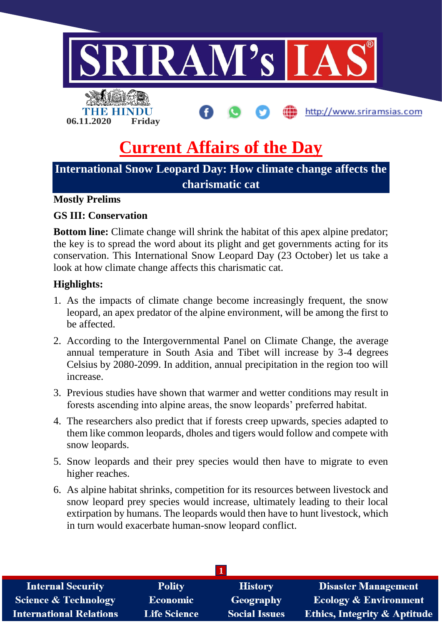

# **Current Affairs of the Day**

## **International Snow Leopard Day: How climate change affects the charismatic cat**

## **Mostly Prelims**

## **GS III: Conservation**

**Bottom line:** Climate change will shrink the habitat of this apex alpine predator; the key is to spread the word about its plight and get governments acting for its conservation. This International Snow Leopard Day (23 October) let us take a look at how climate change affects this charismatic cat.

## **Highlights:**

- 1. As the impacts of climate change become increasingly frequent, the snow leopard, an apex predator of the alpine environment, will be among the first to be affected.
- 2. According to the Intergovernmental Panel on Climate Change, the average annual temperature in South Asia and Tibet will increase by 3-4 degrees Celsius by 2080-2099. In addition, annual precipitation in the region too will increase.
- 3. Previous studies have shown that warmer and wetter conditions may result in forests ascending into alpine areas, the snow leopards' preferred habitat.
- 4. The researchers also predict that if forests creep upwards, species adapted to them like common leopards, dholes and tigers would follow and compete with snow leopards.
- 5. Snow leopards and their prey species would then have to migrate to even higher reaches.
- 6. As alpine habitat shrinks, competition for its resources between livestock and snow leopard prey species would increase, ultimately leading to their local extirpation by humans. The leopards would then have to hunt livestock, which in turn would exacerbate human-snow leopard conflict.

| <b>Internal Security</b>        | <b>Polity</b>       | <b>History</b>       | <b>Disaster Management</b>              |
|---------------------------------|---------------------|----------------------|-----------------------------------------|
| <b>Science &amp; Technology</b> | <b>Economic</b>     | Geography            | <b>Ecology &amp; Environment</b>        |
| <b>International Relations</b>  | <b>Life Science</b> | <b>Social Issues</b> | <b>Ethics, Integrity &amp; Aptitude</b> |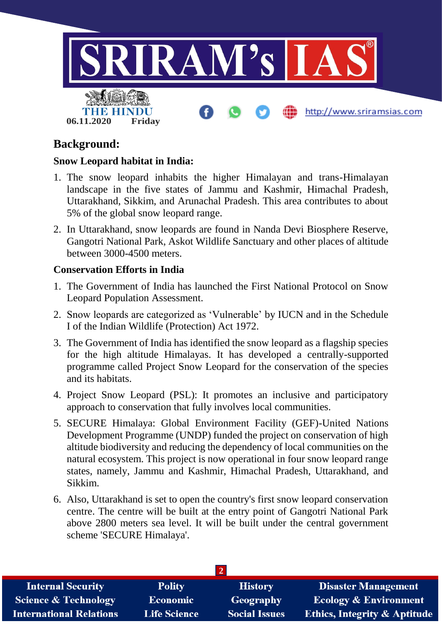

## **Background:**

## **Snow Leopard habitat in India:**

- 1. The snow leopard inhabits the higher Himalayan and trans-Himalayan landscape in the five states of Jammu and Kashmir, Himachal Pradesh, Uttarakhand, Sikkim, and Arunachal Pradesh. This area contributes to about 5% of the global snow leopard range.
- 2. In Uttarakhand, snow leopards are found in Nanda Devi Biosphere Reserve, Gangotri National Park, Askot Wildlife Sanctuary and other places of altitude between 3000-4500 meters.

## **Conservation Efforts in India**

- 1. The Government of India has launched the First National Protocol on Snow Leopard Population Assessment.
- 2. Snow leopards are categorized as 'Vulnerable' by IUCN and in the Schedule I of the Indian Wildlife (Protection) Act 1972.
- 3. The Government of India has identified the snow leopard as a flagship species for the high altitude Himalayas. It has developed a centrally-supported programme called Project Snow Leopard for the conservation of the species and its habitats.
- 4. Project Snow Leopard (PSL): It promotes an inclusive and participatory approach to conservation that fully involves local communities.
- 5. SECURE Himalaya: Global Environment Facility (GEF)-United Nations Development Programme (UNDP) funded the project on conservation of high altitude biodiversity and reducing the dependency of local communities on the natural ecosystem. This project is now operational in four snow leopard range states, namely, Jammu and Kashmir, Himachal Pradesh, Uttarakhand, and Sikkim.
- 6. Also, Uttarakhand is set to open the country's first snow leopard conservation centre. The centre will be built at the entry point of Gangotri National Park above 2800 meters sea level. It will be built under the central government scheme 'SECURE Himalaya'.

| <b>Internal Security</b>        | <b>Polity</b>       | <b>History</b>       | <b>Disaster Management</b>              |  |  |  |
|---------------------------------|---------------------|----------------------|-----------------------------------------|--|--|--|
| <b>Science &amp; Technology</b> | Economic            | Geography            | <b>Ecology &amp; Environment</b>        |  |  |  |
| <b>International Relations</b>  | <b>Life Science</b> | <b>Social Issues</b> | <b>Ethics, Integrity &amp; Aptitude</b> |  |  |  |